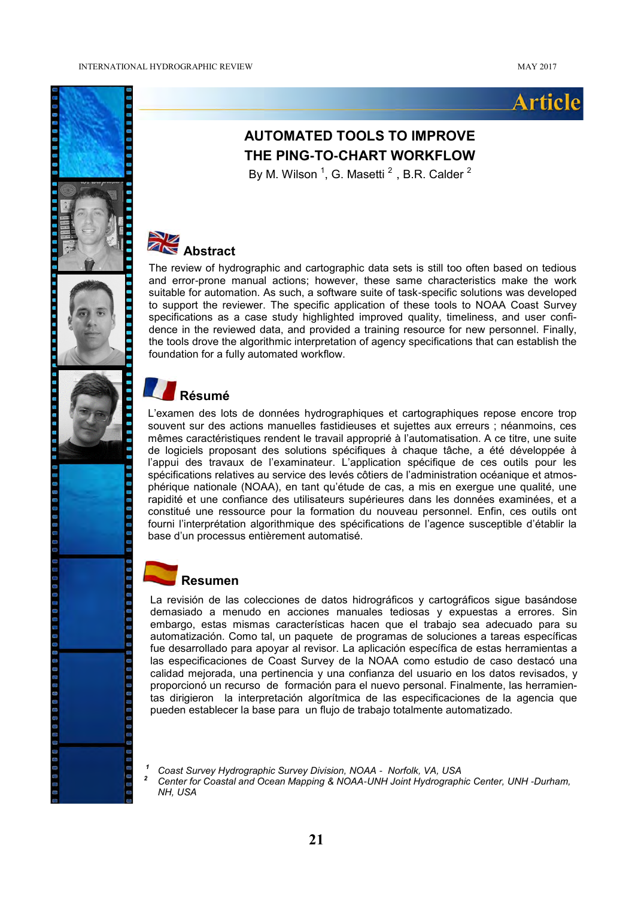

### **AUTOMATED TOOLS TO IMPROVE THE PING-TO-CHART WORKFLOW**

By M. Wilson<sup>1</sup>, G. Masetti<sup>2</sup>, B.R. Calder<sup>2</sup>

# **AB**<br>Abstract

. . . . . . .

. . . . . . . .

ь O C o a ē O O ö Ō C. o G ō ŗ. o o o C a Ù C ò, c C a C C) C C n O ċ C C O The review of hydrographic and cartographic data sets is still too often based on tedious and error-prone manual actions; however, these same characteristics make the work suitable for automation. As such, a software suite of task-specific solutions was developed to support the reviewer. The specific application of these tools to NOAA Coast Survey specifications as a case study highlighted improved quality, timeliness, and user confidence in the reviewed data, and provided a training resource for new personnel. Finally, the tools drove the algorithmic interpretation of agency specifications that can establish the foundation for a fully automated workflow.

## **Résumé**

L'examen des lots de données hydrographiques et cartographiques repose encore trop souvent sur des actions manuelles fastidieuses et sujettes aux erreurs ; néanmoins, ces mêmes caractéristiques rendent le travail approprié à l'automatisation. A ce titre, une suite de logiciels proposant des solutions spécifiques à chaque tâche, a été développée à l'appui des travaux de l'examinateur. L'application spécifique de ces outils pour les spécifications relatives au service des levés côtiers de l'administration océanique et atmosphérique nationale (NOAA), en tant qu'étude de cas, a mis en exergue une qualité, une rapidité et une confiance des utilisateurs supérieures dans les données examinées, et a constitué une ressource pour la formation du nouveau personnel. Enfin, ces outils ont fourni l'interprétation algorithmique des spécifications de l'agence susceptible d'établir la base d'un processus entièrement automatisé.



La revisión de las colecciones de datos hidrográficos y cartográficos sigue basándose demasiado a menudo en acciones manuales tediosas y expuestas a errores. Sin embargo, estas mismas características hacen que el trabajo sea adecuado para su automatización. Como tal, un paquete de programas de soluciones a tareas específicas fue desarrollado para apoyar al revisor. La aplicación específica de estas herramientas a las especificaciones de Coast Survey de la NOAA como estudio de caso destacó una calidad mejorada, una pertinencia y una confianza del usuario en los datos revisados, y proporcionó un recurso de formación para el nuevo personal. Finalmente, las herramientas dirigieron la interpretación algorítmica de las especificaciones de la agencia que pueden establecer la base para un flujo de trabajo totalmente automatizado.

*<sup>1</sup>Coast Survey Hydrographic Survey Division, NOAA - Norfolk, VA, USA <sup>2</sup> Center for Coastal and Ocean Mapping & NOAA-UNH Joint Hydrographic Center, UNH -Durham, NH, USA*

**21**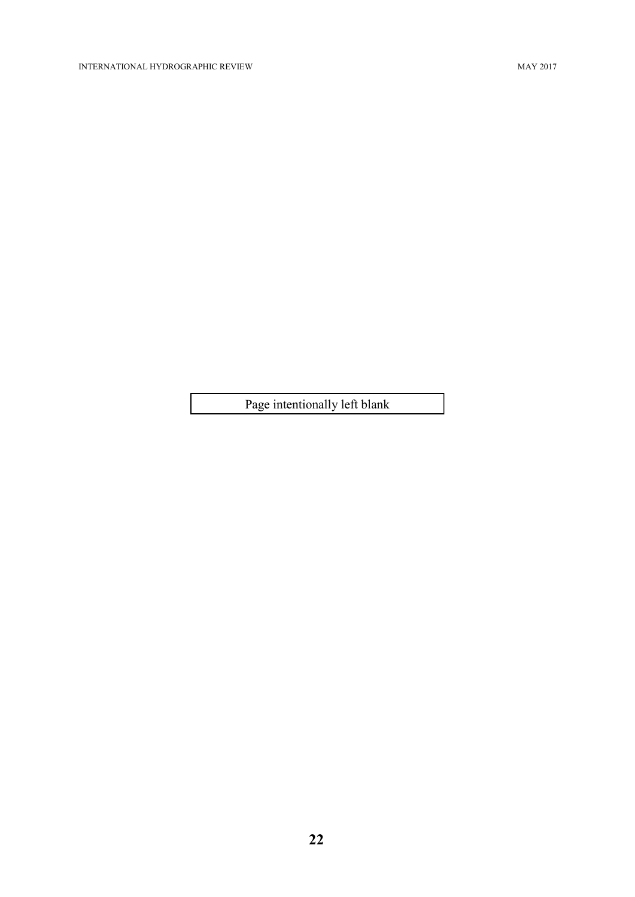Page intentionally left blank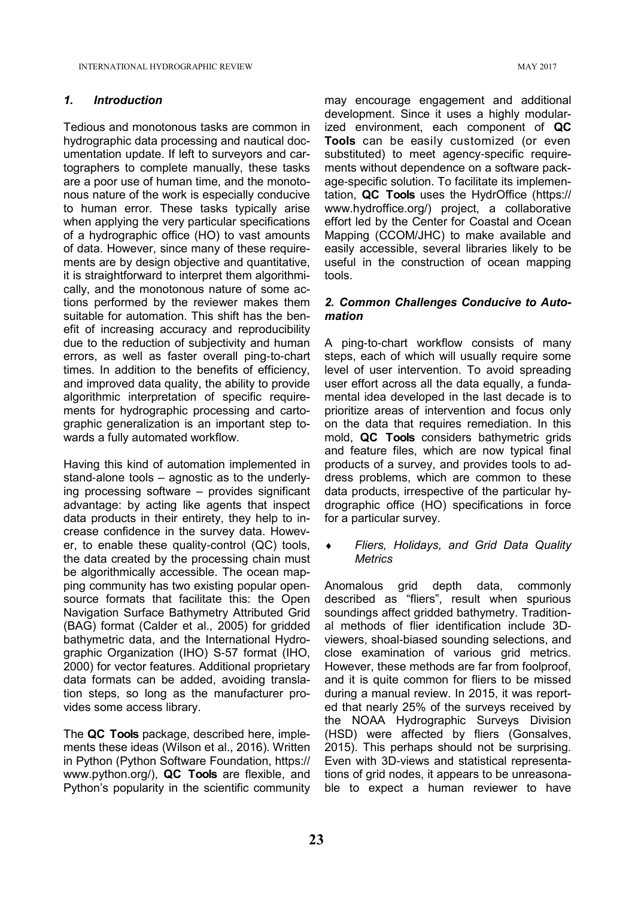#### *1. Introduction*

Tedious and monotonous tasks are common in hydrographic data processing and nautical documentation update. If left to surveyors and cartographers to complete manually, these tasks are a poor use of human time, and the monotonous nature of the work is especially conducive to human error. These tasks typically arise when applying the very particular specifications of a hydrographic office (HO) to vast amounts of data. However, since many of these requirements are by design objective and quantitative, it is straightforward to interpret them algorithmically, and the monotonous nature of some actions performed by the reviewer makes them suitable for automation. This shift has the benefit of increasing accuracy and reproducibility due to the reduction of subjectivity and human errors, as well as faster overall ping-to-chart times. In addition to the benefits of efficiency, and improved data quality, the ability to provide algorithmic interpretation of specific requirements for hydrographic processing and cartographic generalization is an important step towards a fully automated workflow.

Having this kind of automation implemented in stand-alone tools – agnostic as to the underlying processing software – provides significant advantage: by acting like agents that inspect data products in their entirety, they help to increase confidence in the survey data. However, to enable these quality-control (QC) tools, the data created by the processing chain must be algorithmically accessible. The ocean mapping community has two existing popular opensource formats that facilitate this: the Open Navigation Surface Bathymetry Attributed Grid (BAG) format [\(Calder et al., 2005\)](file:///C:/Users/wpe/AppData/Local/Temp/Rar$DIa0.920/IHR_QCTools.docx#_ENREF_1#_ENREF_1) for gridded bathymetric data, and the International Hydrographic Organization (IHO) S-57 format [\(IHO,](file:///C:/Users/wpe/AppData/Local/Temp/Rar$DIa0.920/IHR_QCTools.docx#_ENREF_4#_ENREF_4)  [2000\)](file:///C:/Users/wpe/AppData/Local/Temp/Rar$DIa0.920/IHR_QCTools.docx#_ENREF_4#_ENREF_4) for vector features. Additional proprietary data formats can be added, avoiding translation steps, so long as the manufacturer provides some access library.

The **QC Tools** package, described here, implements these ideas [\(Wilson et al., 2016\)](file:///C:/Users/wpe/AppData/Local/Temp/Rar$DIa0.920/IHR_QCTools.docx#_ENREF_7#_ENREF_7). Written in Python (Python Software Foundation, https:// www.python.org/), **QC Tools** are flexible, and Python's popularity in the scientific community

may encourage engagement and additional development. Since it uses a highly modularized environment, each component of **QC Tools** can be easily customized (or even substituted) to meet agency-specific requirements without dependence on a software package-specific solution. To facilitate its implementation, **QC Tools** uses the HydrOffice (https:// www.hydroffice.org/) project, a collaborative effort led by the Center for Coastal and Ocean Mapping (CCOM/JHC) to make available and easily accessible, several libraries likely to be useful in the construction of ocean mapping tools.

#### *2. Common Challenges Conducive to Automation*

A ping-to-chart workflow consists of many steps, each of which will usually require some level of user intervention. To avoid spreading user effort across all the data equally, a fundamental idea developed in the last decade is to prioritize areas of intervention and focus only on the data that requires remediation. In this mold, **QC Tools** considers bathymetric grids and feature files, which are now typical final products of a survey, and provides tools to address problems, which are common to these data products, irrespective of the particular hydrographic office (HO) specifications in force for a particular survey.

 *Fliers, Holidays, and Grid Data Quality Metrics*

Anomalous grid depth data, commonly described as "fliers", result when spurious soundings affect gridded bathymetry. Traditional methods of flier identification include 3Dviewers, shoal-biased sounding selections, and close examination of various grid metrics. However, these methods are far from foolproof, and it is quite common for fliers to be missed during a manual review. In 2015, it was reported that nearly 25% of the surveys received by the NOAA Hydrographic Surveys Division (HSD) were affected by fliers ([Gonsalves,](file:///C:/Users/wpe/AppData/Local/Temp/Rar$DIa0.920/IHR_QCTools.docx#_ENREF_3#_ENREF_3)  [2015\).](file:///C:/Users/wpe/AppData/Local/Temp/Rar$DIa0.920/IHR_QCTools.docx#_ENREF_3#_ENREF_3) This perhaps should not be surprising. Even with 3D-views and statistical representations of grid nodes, it appears to be unreasonable to expect a human reviewer to have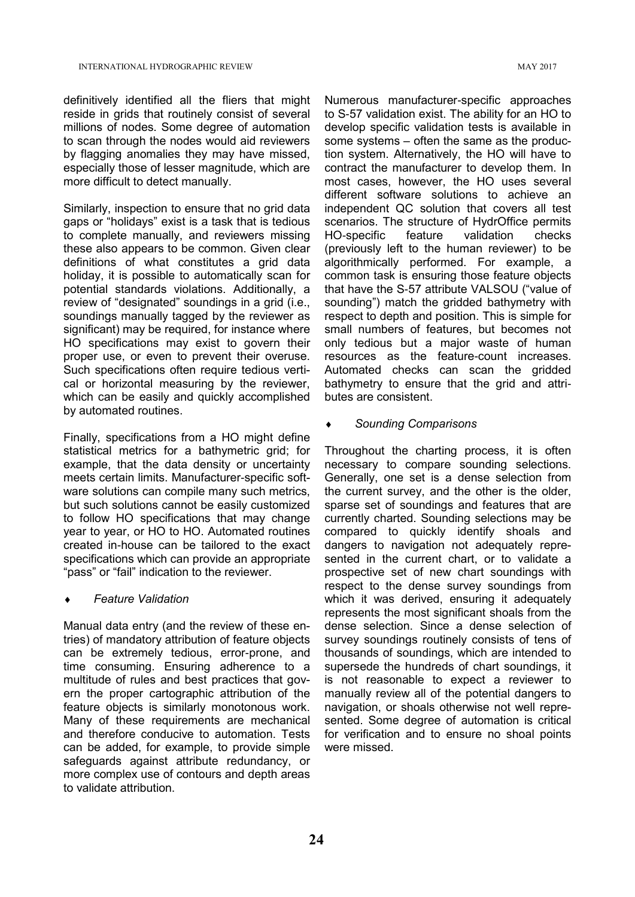definitively identified all the fliers that might reside in grids that routinely consist of several millions of nodes. Some degree of automation to scan through the nodes would aid reviewers by flagging anomalies they may have missed, especially those of lesser magnitude, which are more difficult to detect manually.

Similarly, inspection to ensure that no grid data gaps or "holidays" exist is a task that is tedious to complete manually, and reviewers missing these also appears to be common. Given clear definitions of what constitutes a grid data holiday, it is possible to automatically scan for potential standards violations. Additionally, a review of "designated" soundings in a grid (i.e., soundings manually tagged by the reviewer as significant) may be required, for instance where HO specifications may exist to govern their proper use, or even to prevent their overuse. Such specifications often require tedious vertical or horizontal measuring by the reviewer, which can be easily and quickly accomplished by automated routines.

Finally, specifications from a HO might define statistical metrics for a bathymetric grid; for example, that the data density or uncertainty meets certain limits. Manufacturer-specific software solutions can compile many such metrics, but such solutions cannot be easily customized to follow HO specifications that may change year to year, or HO to HO. Automated routines created in-house can be tailored to the exact specifications which can provide an appropriate "pass" or "fail" indication to the reviewer.

#### *Feature Validation*

Manual data entry (and the review of these entries) of mandatory attribution of feature objects can be extremely tedious, error-prone, and time consuming. Ensuring adherence to a multitude of rules and best practices that govern the proper cartographic attribution of the feature objects is similarly monotonous work. Many of these requirements are mechanical and therefore conducive to automation. Tests can be added, for example, to provide simple safeguards against attribute redundancy, or more complex use of contours and depth areas to validate attribution.

Numerous manufacturer-specific approaches to S-57 validation exist. The ability for an HO to develop specific validation tests is available in some systems – often the same as the production system. Alternatively, the HO will have to contract the manufacturer to develop them. In most cases, however, the HO uses several different software solutions to achieve an independent QC solution that covers all test scenarios. The structure of HydrOffice permits HO-specific feature validation checks (previously left to the human reviewer) to be algorithmically performed. For example, a common task is ensuring those feature objects that have the S-57 attribute VALSOU ("value of sounding") match the gridded bathymetry with respect to depth and position. This is simple for small numbers of features, but becomes not only tedious but a major waste of human resources as the feature-count increases. Automated checks can scan the gridded bathymetry to ensure that the grid and attributes are consistent.

#### *Sounding Comparisons*

Throughout the charting process, it is often necessary to compare sounding selections. Generally, one set is a dense selection from the current survey, and the other is the older, sparse set of soundings and features that are currently charted. Sounding selections may be compared to quickly identify shoals and dangers to navigation not adequately represented in the current chart, or to validate a prospective set of new chart soundings with respect to the dense survey soundings from which it was derived, ensuring it adequately represents the most significant shoals from the dense selection. Since a dense selection of survey soundings routinely consists of tens of thousands of soundings, which are intended to supersede the hundreds of chart soundings, it is not reasonable to expect a reviewer to manually review all of the potential dangers to navigation, or shoals otherwise not well represented. Some degree of automation is critical for verification and to ensure no shoal points were missed.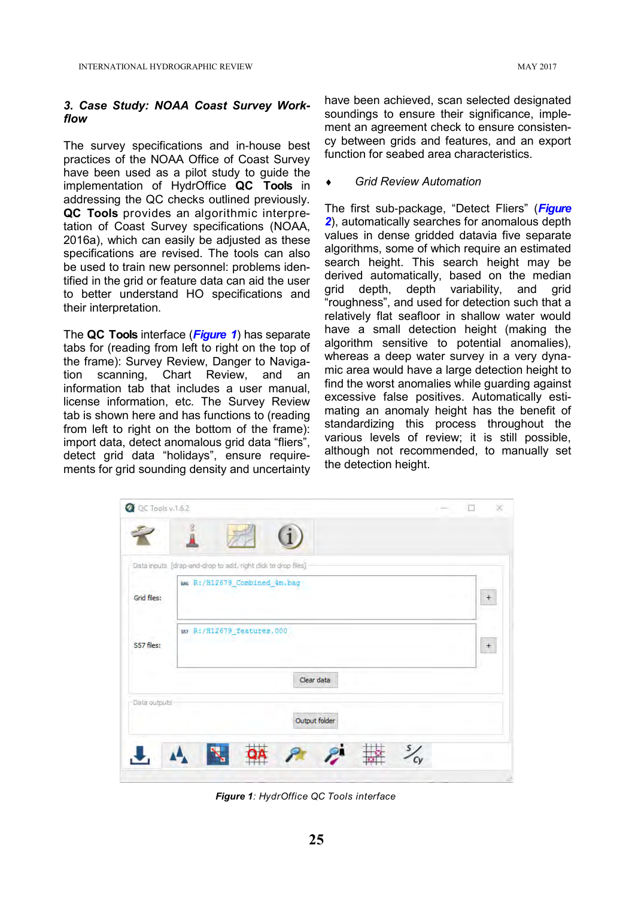#### *3. Case Study: NOAA Coast Survey Workflow*

The survey specifications and in-house best practices of the NOAA Office of Coast Survey have been used as a pilot study to guide the implementation of HydrOffice **QC Tools** in addressing the QC checks outlined previously. **QC Tools** provides an algorithmic interpretation of Coast Survey specifications ([NOAA,](file:///C:/Users/wpe/AppData/Local/Temp/Rar$DIa0.920/IHR_QCTools.docx#_ENREF_5#_ENREF_5)  [2016a\),](file:///C:/Users/wpe/AppData/Local/Temp/Rar$DIa0.920/IHR_QCTools.docx#_ENREF_5#_ENREF_5) which can easily be adjusted as these specifications are revised. The tools can also be used to train new personnel: problems identified in the grid or feature data can aid the user to better understand HO specifications and their interpretation.

The **QC Tools** interface (*Figure 1*) has separate tabs for (reading from left to right on the top of the frame): Survey Review, Danger to Navigation scanning, Chart Review, and an information tab that includes a user manual, license information, etc. The Survey Review tab is shown here and has functions to (reading from left to right on the bottom of the frame): import data, detect anomalous grid data "fliers", detect grid data "holidays", ensure requirements for grid sounding density and uncertainty

have been achieved, scan selected designated soundings to ensure their significance, implement an agreement check to ensure consistency between grids and features, and an export function for seabed area characteristics.

#### *Grid Review Automation*

The first sub-package, "Detect Fliers" (*Figure 2*), automatically searches for anomalous depth values in dense gridded datavia five separate algorithms, some of which require an estimated search height. This search height may be derived automatically, based on the median grid depth, depth variability, and grid "roughness", and used for detection such that a relatively flat seafloor in shallow water would have a small detection height (making the algorithm sensitive to potential anomalies), whereas a deep water survey in a very dynamic area would have a large detection height to find the worst anomalies while guarding against excessive false positives. Automatically estimating an anomaly height has the benefit of standardizing this process throughout the various levels of review; it is still possible, although not recommended, to manually set the detection height.



*Figure 1: HydrOffice QC Tools interface*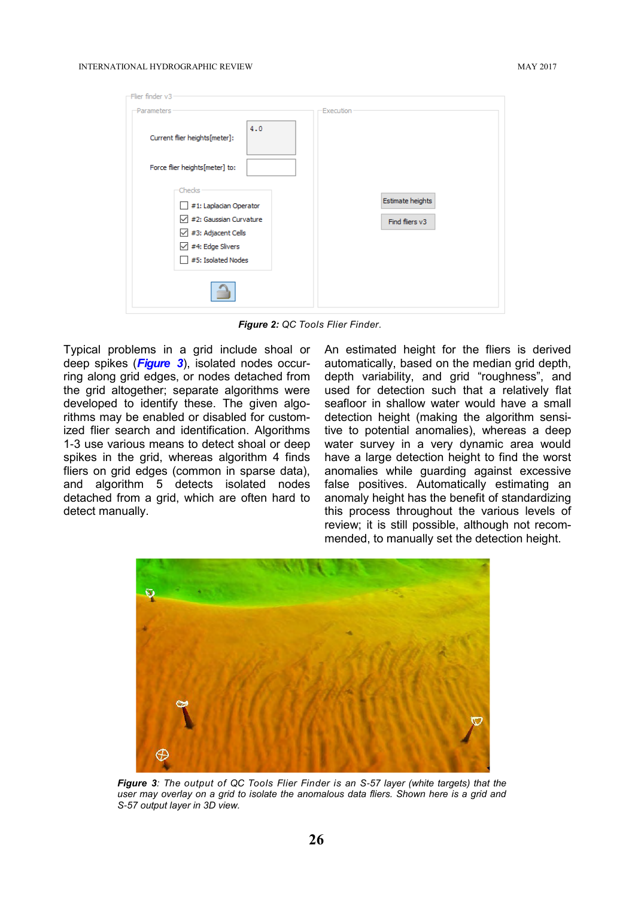| Execution                          |
|------------------------------------|
|                                    |
|                                    |
| Estimate heights<br>Find fliers v3 |
|                                    |

*Figure 2: QC Tools Flier Finder.*

Typical problems in a grid include shoal or deep spikes (*Figure 3*), isolated nodes occurring along grid edges, or nodes detached from the grid altogether; separate algorithms were developed to identify these. The given algorithms may be enabled or disabled for customized flier search and identification. Algorithms 1-3 use various means to detect shoal or deep spikes in the grid, whereas algorithm 4 finds fliers on grid edges (common in sparse data), and algorithm 5 detects isolated nodes detached from a grid, which are often hard to detect manually.

An estimated height for the fliers is derived automatically, based on the median grid depth, depth variability, and grid "roughness", and used for detection such that a relatively flat seafloor in shallow water would have a small detection height (making the algorithm sensitive to potential anomalies), whereas a deep water survey in a very dynamic area would have a large detection height to find the worst anomalies while guarding against excessive false positives. Automatically estimating an anomaly height has the benefit of standardizing this process throughout the various levels of review; it is still possible, although not recommended, to manually set the detection height.



*Figure 3: The output of QC Tools Flier Finder is an S-57 layer (white targets) that the user may overlay on a grid to isolate the anomalous data fliers. Shown here is a grid and S-57 output layer in 3D view.*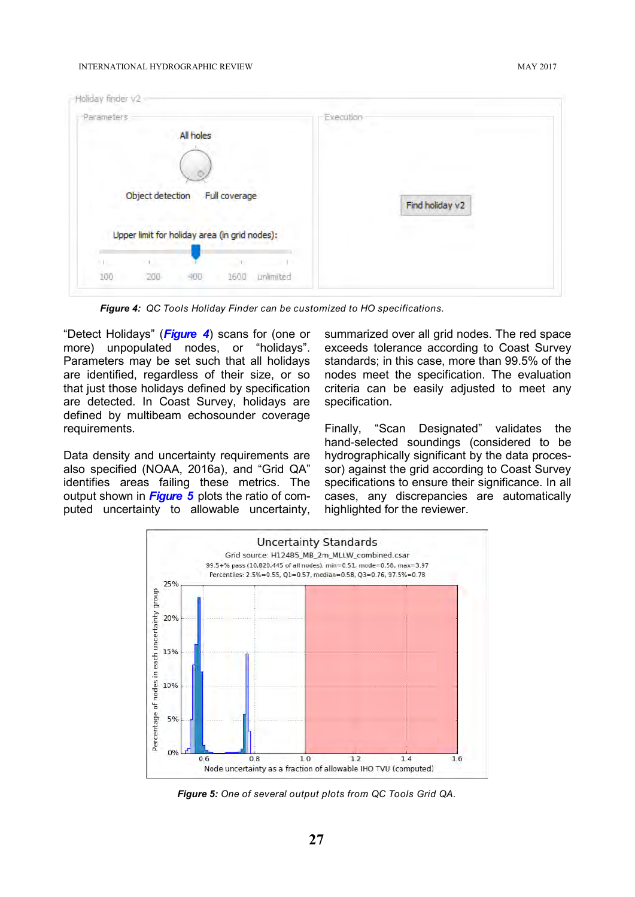| Parameters |                                               |     |               |           | Execution |                 |
|------------|-----------------------------------------------|-----|---------------|-----------|-----------|-----------------|
| All holes  |                                               |     |               |           |           |                 |
|            | Object detection                              |     | Full coverage |           |           | Find holiday v2 |
|            | Upper limit for holiday area (in grid nodes): |     |               |           |           |                 |
| . .        |                                               |     |               |           |           |                 |
| 100        | 200                                           | 400 | 1600          | unlimited |           |                 |

*Figure 4: QC Tools Holiday Finder can be customized to HO specifications.*

"Detect Holidays" (*Figure 4*) scans for (one or more) unpopulated nodes, or "holidays". Parameters may be set such that all holidays are identified, regardless of their size, or so that just those holidays defined by specification are detected. In Coast Survey, holidays are defined by multibeam echosounder coverage requirements.

Data density and uncertainty requirements are also specified ([NOAA, 2016a\),](file:///C:/Users/wpe/AppData/Local/Temp/Rar$DIa0.920/IHR_QCTools.docx#_ENREF_5#_ENREF_5) and "Grid QA" identifies areas failing these metrics. The output shown in *Figure 5* plots the ratio of computed uncertainty to allowable uncertainty, summarized over all grid nodes. The red space exceeds tolerance according to Coast Survey standards; in this case, more than 99.5% of the nodes meet the specification. The evaluation criteria can be easily adjusted to meet any specification.

Finally, "Scan Designated" validates the hand-selected soundings (considered to be hydrographically significant by the data processor) against the grid according to Coast Survey specifications to ensure their significance. In all cases, any discrepancies are automatically highlighted for the reviewer.



*Figure 5: One of several output plots from QC Tools Grid QA.*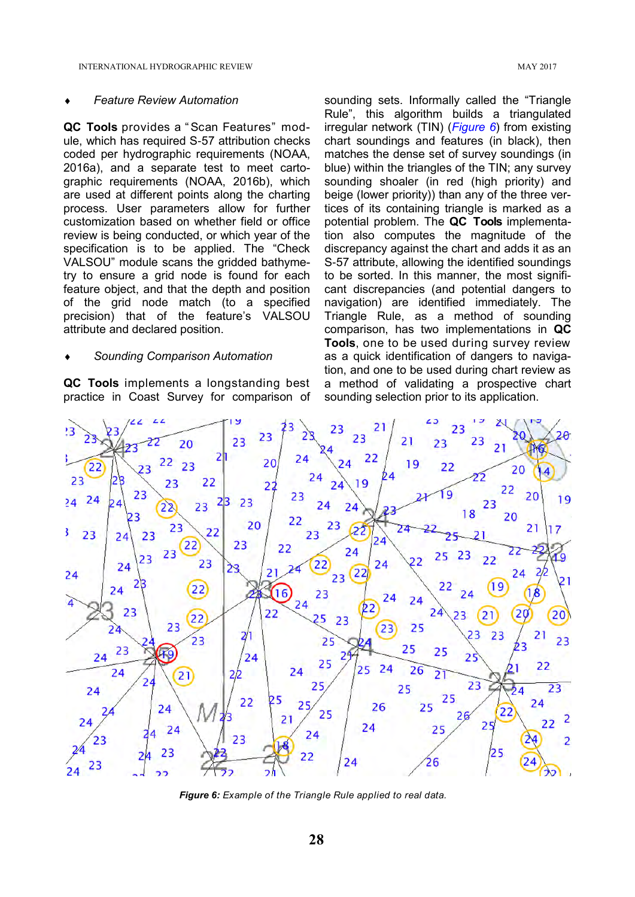#### *Feature Review Automation*

**QC Tools** provides a " Scan Features" module, which has required S-57 attribution checks coded per hydrographic requirements ([NOAA,](file:///C:/Users/wpe/AppData/Local/Temp/Rar$DIa0.920/IHR_QCTools.docx#_ENREF_5#_ENREF_5)  [2016a\),](file:///C:/Users/wpe/AppData/Local/Temp/Rar$DIa0.920/IHR_QCTools.docx#_ENREF_5#_ENREF_5) and a separate test to meet cartographic requirements [\(NOAA, 2016b\),](file:///C:/Users/wpe/AppData/Local/Temp/Rar$DIa0.920/IHR_QCTools.docx#_ENREF_6#_ENREF_6) which are used at different points along the charting process. User parameters allow for further customization based on whether field or office review is being conducted, or which year of the specification is to be applied. The "Check VALSOU" module scans the gridded bathymetry to ensure a grid node is found for each feature object, and that the depth and position of the grid node match (to a specified precision) that of the feature's VALSOU attribute and declared position.

#### *Sounding Comparison Automation*

**QC Tools** implements a longstanding best practice in Coast Survey for comparison of sounding sets. Informally called the "Triangle Rule", this algorithm builds a triangulated irregular network (TIN) (*Figure 6*) from existing chart soundings and features (in black), then matches the dense set of survey soundings (in blue) within the triangles of the TIN; any survey sounding shoaler (in red (high priority) and beige (lower priority)) than any of the three vertices of its containing triangle is marked as a potential problem. The **QC Tools** implementation also computes the magnitude of the discrepancy against the chart and adds it as an S-57 attribute, allowing the identified soundings to be sorted. In this manner, the most significant discrepancies (and potential dangers to navigation) are identified immediately. The Triangle Rule, as a method of sounding comparison, has two implementations in **QC Tools**, one to be used during survey review as a quick identification of dangers to navigation, and one to be used during chart review as a method of validating a prospective chart sounding selection prior to its application.



*Figure 6: Example of the Triangle Rule applied to real data.*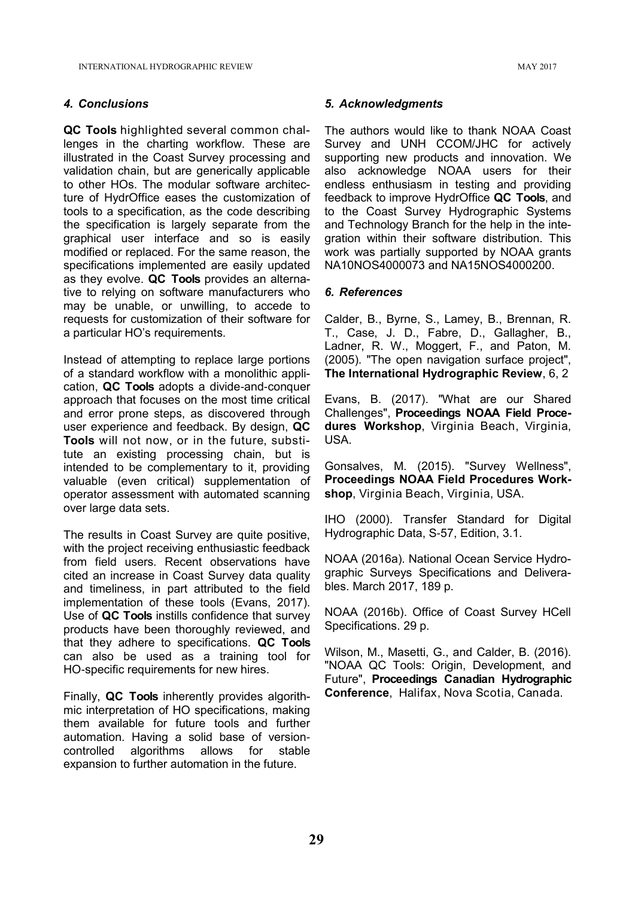#### *4. Conclusions*

**QC Tools** highlighted several common challenges in the charting workflow. These are illustrated in the Coast Survey processing and validation chain, but are generically applicable to other HOs. The modular software architecture of HydrOffice eases the customization of tools to a specification, as the code describing the specification is largely separate from the graphical user interface and so is easily modified or replaced. For the same reason, the specifications implemented are easily updated as they evolve. **QC Tools** provides an alternative to relying on software manufacturers who may be unable, or unwilling, to accede to requests for customization of their software for a particular HO's requirements.

Instead of attempting to replace large portions of a standard workflow with a monolithic application, **QC Tools** adopts a divide-and-conquer approach that focuses on the most time critical and error prone steps, as discovered through user experience and feedback. By design, **QC Tools** will not now, or in the future, substitute an existing processing chain, but is intended to be complementary to it, providing valuable (even critical) supplementation of operator assessment with automated scanning over large data sets.

The results in Coast Survey are quite positive, with the project receiving enthusiastic feedback from field users. Recent observations have cited an increase in Coast Survey data quality and timeliness, in part attributed to the field implementation of these tools [\(Evans, 2017\).](file:///C:/Users/wpe/AppData/Local/Temp/Rar$DIa0.920/IHR_QCTools.docx#_ENREF_2#_ENREF_2) Use of **QC Tools** instills confidence that survey products have been thoroughly reviewed, and that they adhere to specifications. **QC Tools** can also be used as a training tool for HO-specific requirements for new hires.

Finally, **QC Tools** inherently provides algorithmic interpretation of HO specifications, making them available for future tools and further automation. Having a solid base of versioncontrolled algorithms allows for stable expansion to further automation in the future.

#### *5. Acknowledgments*

The authors would like to thank NOAA Coast Survey and UNH CCOM/JHC for actively supporting new products and innovation. We also acknowledge NOAA users for their endless enthusiasm in testing and providing feedback to improve HydrOffice **QC Tools**, and to the Coast Survey Hydrographic Systems and Technology Branch for the help in the integration within their software distribution. This work was partially supported by NOAA grants NA10NOS4000073 and NA15NOS4000200.

#### *6. References*

Calder, B., Byrne, S., Lamey, B., Brennan, R. T., Case, J. D., Fabre, D., Gallagher, B., Ladner, R. W., Moggert, F., and Paton, M. (2005). "The open navigation surface project", **The International Hydrographic Review**, 6, 2

Evans, B. (2017). "What are our Shared Challenges", **Proceedings NOAA Field Procedures Workshop**, Virginia Beach, Virginia, USA.

Gonsalves, M. (2015). "Survey Wellness", **Proceedings NOAA Field Procedures Workshop**, Virginia Beach, Virginia, USA.

IHO (2000). Transfer Standard for Digital Hydrographic Data, S-57, Edition, 3.1.

NOAA (2016a). National Ocean Service Hydrographic Surveys Specifications and Deliverables. March 2017, 189 p.

NOAA (2016b). Office of Coast Survey HCell Specifications. 29 p.

Wilson, M., Masetti, G., and Calder, B. (2016). "NOAA QC Tools: Origin, Development, and Future", **Proceedings Canadian Hydrographic Conference**, Halifax, Nova Scotia, Canada.